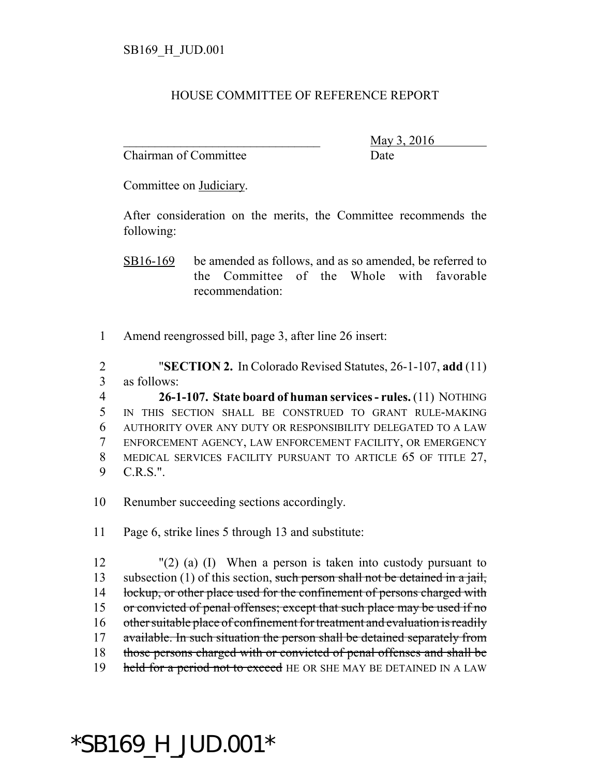## HOUSE COMMITTEE OF REFERENCE REPORT

Chairman of Committee Date

\_\_\_\_\_\_\_\_\_\_\_\_\_\_\_\_\_\_\_\_\_\_\_\_\_\_\_\_\_\_\_ May 3, 2016

Committee on Judiciary.

After consideration on the merits, the Committee recommends the following:

SB16-169 be amended as follows, and as so amended, be referred to the Committee of the Whole with favorable recommendation:

1 Amend reengrossed bill, page 3, after line 26 insert:

2 "**SECTION 2.** In Colorado Revised Statutes, 26-1-107, **add** (11) 3 as follows:

 **26-1-107. State board of human services - rules.** (11) NOTHING IN THIS SECTION SHALL BE CONSTRUED TO GRANT RULE-MAKING AUTHORITY OVER ANY DUTY OR RESPONSIBILITY DELEGATED TO A LAW ENFORCEMENT AGENCY, LAW ENFORCEMENT FACILITY, OR EMERGENCY MEDICAL SERVICES FACILITY PURSUANT TO ARTICLE 65 OF TITLE 27, 9 C.R.S.".

10 Renumber succeeding sections accordingly.

11 Page 6, strike lines 5 through 13 and substitute:

12 "(2) (a) (I) When a person is taken into custody pursuant to 13 subsection (1) of this section, such person shall not be detained in a jail, 14 lockup, or other place used for the confinement of persons charged with 15 or convicted of penal offenses; except that such place may be used if no 16 other suitable place of confinement for treatment and evaluation is readily 17 available. In such situation the person shall be detained separately from 18 those persons charged with or convicted of penal offenses and shall be 19 held for a period not to exceed HE OR SHE MAY BE DETAINED IN A LAW

## \*SB169\_H\_JUD.001\*